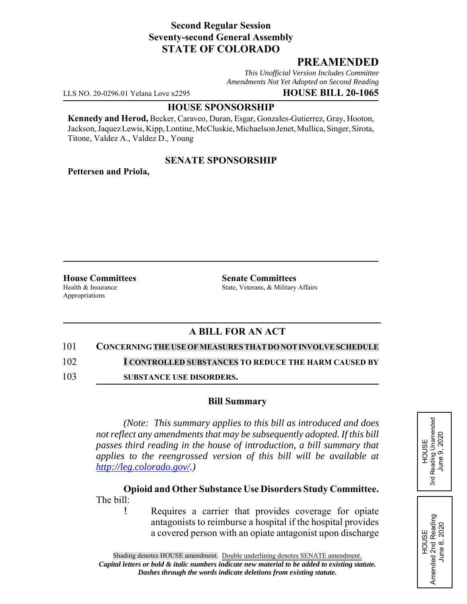## **Second Regular Session Seventy-second General Assembly STATE OF COLORADO**

# **PREAMENDED**

*This Unofficial Version Includes Committee Amendments Not Yet Adopted on Second Reading*

LLS NO. 20-0296.01 Yelana Love x2295 **HOUSE BILL 20-1065**

### **HOUSE SPONSORSHIP**

**Kennedy and Herod,** Becker, Caraveo, Duran, Esgar, Gonzales-Gutierrez, Gray, Hooton, Jackson, Jaquez Lewis, Kipp, Lontine, McCluskie, Michaelson Jenet, Mullica, Singer, Sirota, Titone, Valdez A., Valdez D., Young

## **SENATE SPONSORSHIP**

**Pettersen and Priola,**

Appropriations

**House Committees Senate Committees** Health & Insurance State, Veterans, & Military Affairs

# **A BILL FOR AN ACT**

#### 101 **CONCERNING THE USEOFMEASURESTHAT DO NOT INVOLVE SCHEDULE**

102 **I CONTROLLED SUBSTANCES TO REDUCE THE HARM CAUSED BY**

103 **SUBSTANCE USE DISORDERS.**

### **Bill Summary**

*(Note: This summary applies to this bill as introduced and does not reflect any amendments that may be subsequently adopted. If this bill passes third reading in the house of introduction, a bill summary that applies to the reengrossed version of this bill will be available at http://leg.colorado.gov/.)*

**Opioid and Other Substance Use Disorders Study Committee.** The bill:

Requires a carrier that provides coverage for opiate antagonists to reimburse a hospital if the hospital provides a covered person with an opiate antagonist upon discharge HOUSE<br>Reading Unamended<br>June 9, 2020 3rd Reading Unamended June 9, 2020 3rd

HOUSE Amended 2nd Reading June 8, 2020

Amended 2nd Reading<br>June 8, 2020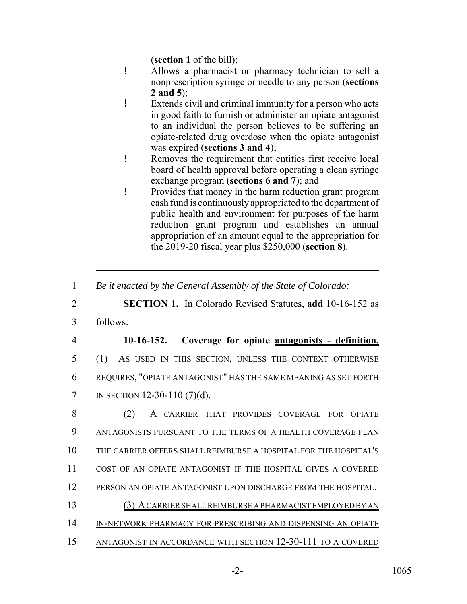(**section 1** of the bill);

- ! Allows a pharmacist or pharmacy technician to sell a nonprescription syringe or needle to any person (**sections 2 and 5**);
- ! Extends civil and criminal immunity for a person who acts in good faith to furnish or administer an opiate antagonist to an individual the person believes to be suffering an opiate-related drug overdose when the opiate antagonist was expired (**sections 3 and 4**);
- ! Removes the requirement that entities first receive local board of health approval before operating a clean syringe exchange program (**sections 6 and 7**); and
- ! Provides that money in the harm reduction grant program cash fund is continuously appropriated to the department of public health and environment for purposes of the harm reduction grant program and establishes an annual appropriation of an amount equal to the appropriation for the 2019-20 fiscal year plus \$250,000 (**section 8**).
- 1 *Be it enacted by the General Assembly of the State of Colorado:*

2 **SECTION 1.** In Colorado Revised Statutes, **add** 10-16-152 as

3 follows:

 **10-16-152. Coverage for opiate antagonists - definition.** (1) AS USED IN THIS SECTION, UNLESS THE CONTEXT OTHERWISE REQUIRES, "OPIATE ANTAGONIST" HAS THE SAME MEANING AS SET FORTH IN SECTION 12-30-110 (7)(d).

 (2) A CARRIER THAT PROVIDES COVERAGE FOR OPIATE ANTAGONISTS PURSUANT TO THE TERMS OF A HEALTH COVERAGE PLAN THE CARRIER OFFERS SHALL REIMBURSE A HOSPITAL FOR THE HOSPITAL'S COST OF AN OPIATE ANTAGONIST IF THE HOSPITAL GIVES A COVERED PERSON AN OPIATE ANTAGONIST UPON DISCHARGE FROM THE HOSPITAL. (3) A CARRIER SHALL REIMBURSE A PHARMACIST EMPLOYED BY AN 14 IN-NETWORK PHARMACY FOR PRESCRIBING AND DISPENSING AN OPIATE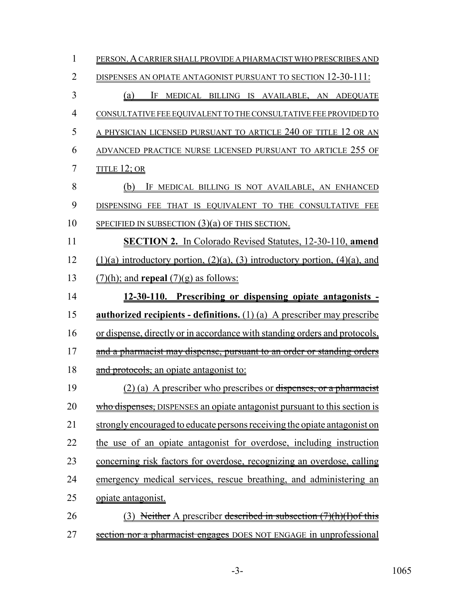| 1              | PERSON. A CARRIER SHALL PROVIDE A PHARMACIST WHO PRESCRIBES AND                        |
|----------------|----------------------------------------------------------------------------------------|
| $\overline{2}$ | DISPENSES AN OPIATE ANTAGONIST PURSUANT TO SECTION 12-30-111:                          |
| 3              | IF MEDICAL BILLING IS AVAILABLE, AN ADEQUATE<br>(a)                                    |
| $\overline{4}$ | CONSULTATIVE FEE EQUIVALENT TO THE CONSULTATIVE FEE PROVIDED TO                        |
| 5              | <u>A PHYSICIAN LICENSED PURSUANT TO ARTICLE 240 OF TITLE 12 OR AN</u>                  |
| 6              | ADVANCED PRACTICE NURSE LICENSED PURSUANT TO ARTICLE 255 OF                            |
| 7              | TITLE 12; OR                                                                           |
| 8              | (b) IF MEDICAL BILLING IS NOT AVAILABLE, AN ENHANCED                                   |
| 9              | DISPENSING FEE THAT IS EQUIVALENT TO THE CONSULTATIVE FEE                              |
| 10             | SPECIFIED IN SUBSECTION $(3)(a)$ OF THIS SECTION.                                      |
| 11             | <b>SECTION 2.</b> In Colorado Revised Statutes, 12-30-110, amend                       |
| 12             | $(1)(a)$ introductory portion, $(2)(a)$ , $(3)$ introductory portion, $(4)(a)$ , and   |
| 13             | $(7)(h)$ ; and <b>repeal</b> $(7)(g)$ as follows:                                      |
| 14             | 12-30-110. Prescribing or dispensing opiate antagonists -                              |
| 15             | <b><u>authorized recipients - definitions.</u></b> $(1)(a)$ A prescriber may prescribe |
| 16             | or dispense, directly or in accordance with standing orders and protocols,             |
| 17             | and a pharmacist may dispense, pursuant to an order or standing orders                 |
| 18             | and protocols, an opiate antagonist to:                                                |
| 19             | (2) (a) A prescriber who prescribes or dispenses, or a pharmacist                      |
| 20             | who dispenses, DISPENSES an opiate antagonist pursuant to this section is              |
| 21             | strongly encouraged to educate persons receiving the opiate antagonist on              |
| 22             | the use of an opiate antagonist for overdose, including instruction                    |
| 23             | concerning risk factors for overdose, recognizing an overdose, calling                 |
| 24             | emergency medical services, rescue breathing, and administering an                     |
| 25             | opiate antagonist.                                                                     |
| 26             | (3) Neither A prescriber described in subsection (7)(h)(I) of this                     |
| 27             | section nor a pharmacist engages DOES NOT ENGAGE in unprofessional                     |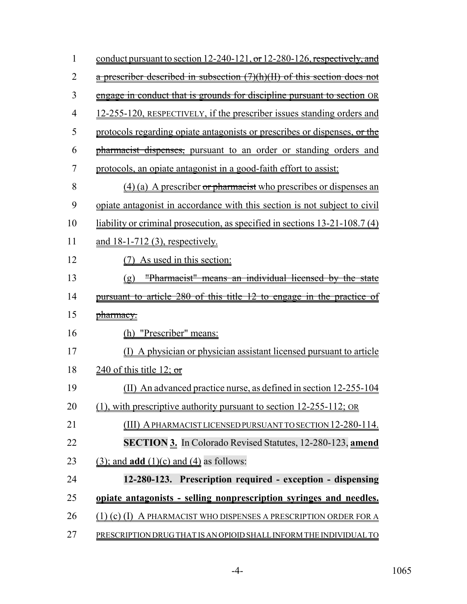| 1              | conduct pursuant to section 12-240-121, or 12-280-126, respectively, and          |
|----------------|-----------------------------------------------------------------------------------|
| $\overline{2}$ | a prescriber described in subsection (7)(h)(II) of this section does not          |
| 3              | engage in conduct that is grounds for discipline pursuant to section OR           |
| $\overline{4}$ | <u>12-255-120, RESPECTIVELY, if the prescriber issues standing orders and</u>     |
| 5              | protocols regarding opiate antagonists or prescribes or dispenses, or the         |
| 6              | pharmacist dispenses, pursuant to an order or standing orders and                 |
| 7              | protocols, an opiate antagonist in a good-faith effort to assist:                 |
| 8              | (4) (a) A prescriber or pharmacist who prescribes or dispenses an                 |
| 9              | <u>opiate antagonist in accordance with this section is not subject to civil</u>  |
| 10             | <u>liability or criminal prosecution, as specified in sections 13-21-108.7(4)</u> |
| 11             | <u>and 18-1-712 (3), respectively.</u>                                            |
| 12             | As used in this section:                                                          |
| 13             | "Pharmacist" means an individual licensed by the state<br>(g)                     |
| 14             | pursuant to article 280 of this title 12 to engage in the practice of             |
| 15             | pharmacy.                                                                         |
| 16             | "Prescriber" means:<br>(h)                                                        |
| 17             | A physician or physician assistant licensed pursuant to article                   |
| 18             | $\frac{240 \text{ of this title } 12; \text{ or }}$                               |
| 19             | (II) An advanced practice nurse, as defined in section 12-255-104                 |
| 20             | $(1)$ , with prescriptive authority pursuant to section 12-255-112; OR            |
| 21             | (III) A PHARMACIST LICENSED PURSUANT TO SECTION 12-280-114.                       |
| 22             | <b>SECTION 3.</b> In Colorado Revised Statutes, 12-280-123, amend                 |
| 23             | $(3)$ ; and <b>add</b> $(1)(c)$ and $(4)$ as follows:                             |
| 24             | 12-280-123. Prescription required - exception - dispensing                        |
| 25             | opiate antagonists - selling nonprescription syringes and needles.                |
| 26             | (1) (c) (I) A PHARMACIST WHO DISPENSES A PRESCRIPTION ORDER FOR A                 |
| 27             | PRESCRIPTION DRUG THAT IS AN OPIOID SHALL INFORM THE INDIVIDUAL TO                |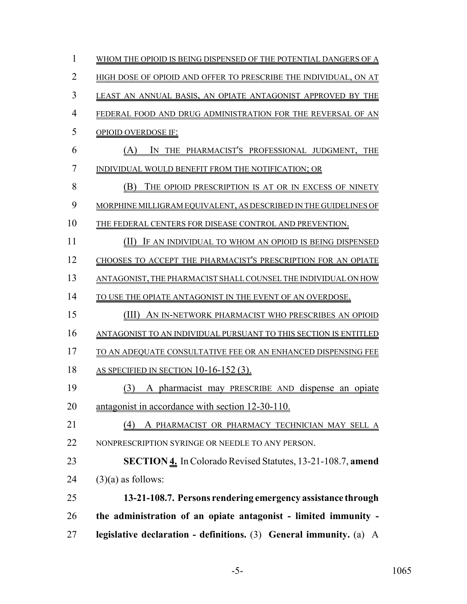| 1              | WHOM THE OPIOID IS BEING DISPENSED OF THE POTENTIAL DANGERS OF A   |
|----------------|--------------------------------------------------------------------|
| $\overline{2}$ | HIGH DOSE OF OPIOID AND OFFER TO PRESCRIBE THE INDIVIDUAL, ON AT   |
| 3              | LEAST AN ANNUAL BASIS, AN OPIATE ANTAGONIST APPROVED BY THE        |
| $\overline{4}$ | FEDERAL FOOD AND DRUG ADMINISTRATION FOR THE REVERSAL OF AN        |
| 5              | <b>OPIOID OVERDOSE IF:</b>                                         |
| 6              | IN THE PHARMACIST'S PROFESSIONAL JUDGMENT, THE<br>(A)              |
| 7              | INDIVIDUAL WOULD BENEFIT FROM THE NOTIFICATION; OR                 |
| 8              | (B)<br>THE OPIOID PRESCRIPTION IS AT OR IN EXCESS OF NINETY        |
| 9              | MORPHINE MILLIGRAM EQUIVALENT, AS DESCRIBED IN THE GUIDELINES OF   |
| 10             | THE FEDERAL CENTERS FOR DISEASE CONTROL AND PREVENTION.            |
| 11             | (II)<br>IF AN INDIVIDUAL TO WHOM AN OPIOID IS BEING DISPENSED      |
| 12             | CHOOSES TO ACCEPT THE PHARMACIST'S PRESCRIPTION FOR AN OPIATE      |
| 13             | ANTAGONIST, THE PHARMACIST SHALL COUNSEL THE INDIVIDUAL ON HOW     |
| 14             | TO USE THE OPIATE ANTAGONIST IN THE EVENT OF AN OVERDOSE.          |
| 15             | (III)<br>AN IN-NETWORK PHARMACIST WHO PRESCRIBES AN OPIOID         |
| 16             | ANTAGONIST TO AN INDIVIDUAL PURSUANT TO THIS SECTION IS ENTITLED   |
| 17             | TO AN ADEQUATE CONSULTATIVE FEE OR AN ENHANCED DISPENSING FEE      |
| 18             | AS SPECIFIED IN SECTION $10-16-152(3)$ .                           |
| 19             | (3) A pharmacist may PRESCRIBE AND dispense an opiate              |
| 20             | antagonist in accordance with section 12-30-110.                   |
| 21             | A PHARMACIST OR PHARMACY TECHNICIAN MAY SELL A<br>(4)              |
| 22             | NONPRESCRIPTION SYRINGE OR NEEDLE TO ANY PERSON.                   |
| 23             | <b>SECTION 4.</b> In Colorado Revised Statutes, 13-21-108.7, amend |
| 24             | $(3)(a)$ as follows:                                               |
| 25             | 13-21-108.7. Persons rendering emergency assistance through        |
| 26             | the administration of an opiate antagonist - limited immunity -    |
| 27             | legislative declaration - definitions. (3) General immunity. (a) A |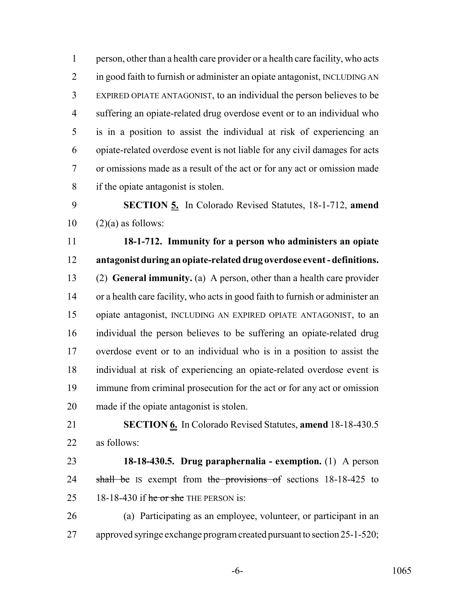person, other than a health care provider or a health care facility, who acts in good faith to furnish or administer an opiate antagonist, INCLUDING AN EXPIRED OPIATE ANTAGONIST, to an individual the person believes to be suffering an opiate-related drug overdose event or to an individual who is in a position to assist the individual at risk of experiencing an opiate-related overdose event is not liable for any civil damages for acts or omissions made as a result of the act or for any act or omission made if the opiate antagonist is stolen.

 **SECTION 5.** In Colorado Revised Statutes, 18-1-712, **amend**  $10 \quad (2)(a)$  as follows:

 **18-1-712. Immunity for a person who administers an opiate antagonist during an opiate-related drug overdose event - definitions.** (2) **General immunity.** (a) A person, other than a health care provider or a health care facility, who acts in good faith to furnish or administer an opiate antagonist, INCLUDING AN EXPIRED OPIATE ANTAGONIST, to an individual the person believes to be suffering an opiate-related drug overdose event or to an individual who is in a position to assist the individual at risk of experiencing an opiate-related overdose event is immune from criminal prosecution for the act or for any act or omission made if the opiate antagonist is stolen.

 **SECTION 6.** In Colorado Revised Statutes, **amend** 18-18-430.5 as follows:

 **18-18-430.5. Drug paraphernalia - exemption.** (1) A person 24 shall be IS exempt from the provisions of sections 18-18-425 to 25 18-18-430 if  $\frac{1}{25}$  he or she THE PERSON is:

 (a) Participating as an employee, volunteer, or participant in an approved syringe exchange program created pursuant to section 25-1-520;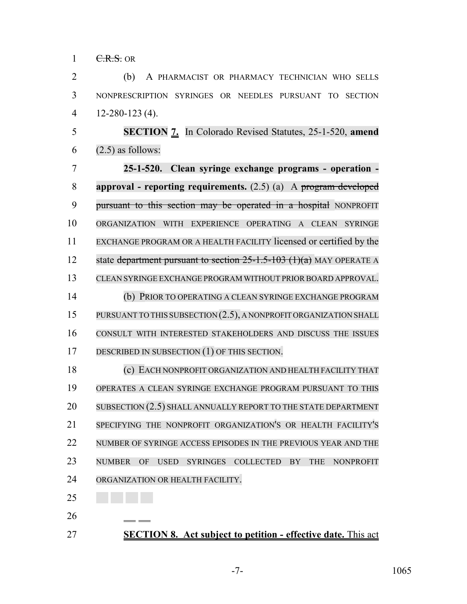$1 \quad \text{C.R.S.}$  OR

 (b) A PHARMACIST OR PHARMACY TECHNICIAN WHO SELLS NONPRESCRIPTION SYRINGES OR NEEDLES PURSUANT TO SECTION 12-280-123 (4).

 **SECTION 7.** In Colorado Revised Statutes, 25-1-520, **amend**  $6 \quad (2.5)$  as follows:

 **25-1-520. Clean syringe exchange programs - operation - approval - reporting requirements.** (2.5) (a) A program developed 9 pursuant to this section may be operated in a hospital NONPROFIT ORGANIZATION WITH EXPERIENCE OPERATING A CLEAN SYRINGE EXCHANGE PROGRAM OR A HEALTH FACILITY licensed or certified by the 12 state department pursuant to section -1.5-103 (1)(a) MAY OPERATE A CLEAN SYRINGE EXCHANGE PROGRAM WITHOUT PRIOR BOARD APPROVAL. (b) PRIOR TO OPERATING A CLEAN SYRINGE EXCHANGE PROGRAM

15 PURSUANT TO THIS SUBSECTION (2.5), A NONPROFIT ORGANIZATION SHALL CONSULT WITH INTERESTED STAKEHOLDERS AND DISCUSS THE ISSUES DESCRIBED IN SUBSECTION (1) OF THIS SECTION.

 (c) EACH NONPROFIT ORGANIZATION AND HEALTH FACILITY THAT OPERATES A CLEAN SYRINGE EXCHANGE PROGRAM PURSUANT TO THIS 20 SUBSECTION (2.5) SHALL ANNUALLY REPORT TO THE STATE DEPARTMENT SPECIFYING THE NONPROFIT ORGANIZATION'S OR HEALTH FACILITY'S NUMBER OF SYRINGE ACCESS EPISODES IN THE PREVIOUS YEAR AND THE NUMBER OF USED SYRINGES COLLECTED BY THE NONPROFIT ORGANIZATION OR HEALTH FACILITY.

- 
- **SECTION 8. Act subject to petition effective date.** This act